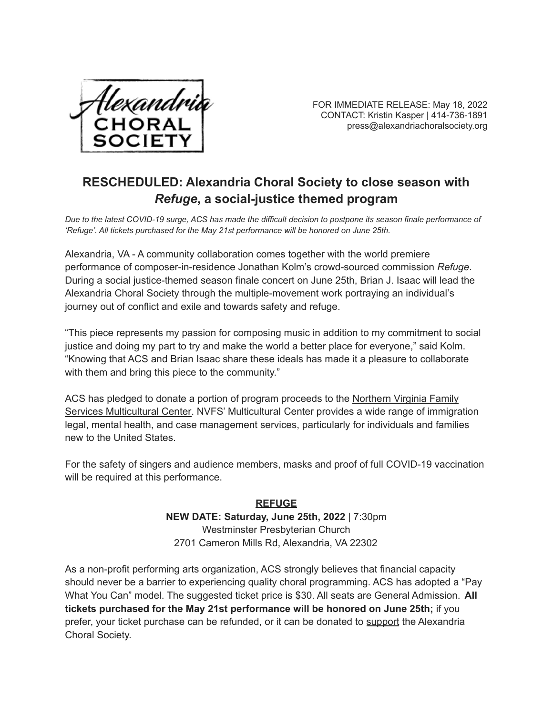

FOR IMMEDIATE RELEASE: May 18, 2022 CONTACT: Kristin Kasper | 414-736-1891 press@alexandriachoralsociety.org

## **RESCHEDULED: Alexandria Choral Society to close season with** *Refuge***, a social-justice themed program**

*Due to the latest COVID-19 surge, ACS has made the difficult decision to postpone its season finale performance of 'Refuge'. All tickets purchased for the May 21st performance will be honored on June 25th.*

Alexandria, VA - A community collaboration comes together with the world premiere performance of composer-in-residence Jonathan Kolm's crowd-sourced commission *Refuge*. During a social justice-themed season finale concert on June 25th, Brian J. Isaac will lead the Alexandria Choral Society through the multiple-movement work portraying an individual's journey out of conflict and exile and towards safety and refuge.

"This piece represents my passion for composing music in addition to my commitment to social justice and doing my part to try and make the world a better place for everyone," said Kolm. "Knowing that ACS and Brian Isaac share these ideals has made it a pleasure to collaborate with them and bring this piece to the community."

ACS has pledged to donate a portion of program proceeds to the [Northern](https://www.nvfs.org/about-nvfs/locations/multicultural-center/) Virginia Family Services [Multicultural](https://www.nvfs.org/about-nvfs/locations/multicultural-center/) Center. NVFS' Multicultural Center provides a wide range of immigration legal, mental health, and case management services, particularly for individuals and families new to the United States.

For the safety of singers and audience members, masks and proof of full COVID-19 vaccination will be required at this performance.

## **REFUGE**

**NEW DATE: Saturday, June 25th, 2022** | 7:30pm Westminster Presbyterian Church 2701 Cameron Mills Rd, Alexandria, VA 22302

As a non-profit performing arts organization, ACS strongly believes that financial capacity should never be a barrier to experiencing quality choral programming. ACS has adopted a "Pay What You Can" model. The suggested ticket price is \$30. All seats are General Admission. **All tickets purchased for the May 21st performance will be honored on June 25th;** if you prefer, your ticket purchase can be refunded, or it can be donated to [support](https://alexandriachoralsociety.us4.list-manage.com/track/click?u=d9cebe501e3f9c0b5055db7fe&id=7728f19d57&e=9bd36cd7ab) the Alexandria Choral Society.